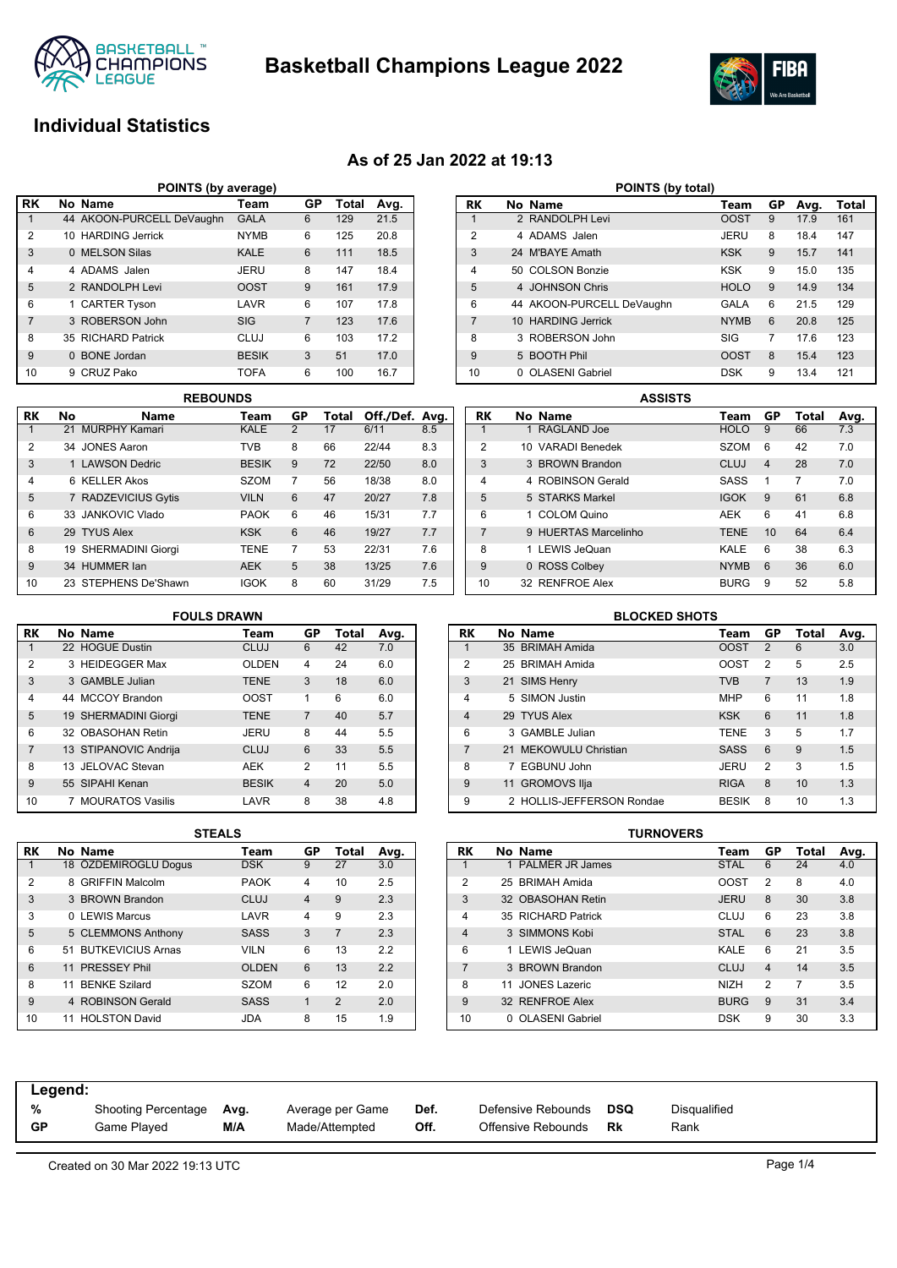

**Basketball Champions League 2022**



## **Individual Statistics**

### **As of 25 Jan 2022 at 19:13**

| POINTS (by average) |  |                           |              |                |       |      |  |  |  |  |  |
|---------------------|--|---------------------------|--------------|----------------|-------|------|--|--|--|--|--|
| l RK                |  | No Name                   | Team         | GP             | Total | Avg. |  |  |  |  |  |
|                     |  | 44 AKOON-PURCELL DeVaughn | <b>GALA</b>  | 6              | 129   | 21.5 |  |  |  |  |  |
| $\overline{2}$      |  | 10 HARDING Jerrick        | <b>NYMB</b>  | 6              | 125   | 20.8 |  |  |  |  |  |
| 3                   |  | 0 MELSON Silas            | <b>KALE</b>  | 6              | 111   | 18.5 |  |  |  |  |  |
| $\overline{4}$      |  | 4 ADAMS Jalen             | JERU         | 8              | 147   | 18.4 |  |  |  |  |  |
| 5                   |  | 2 RANDOLPH Levi           | <b>OOST</b>  | 9              | 161   | 17.9 |  |  |  |  |  |
| 6                   |  | 1 CARTER Tyson            | LAVR         | 6              | 107   | 17.8 |  |  |  |  |  |
| $\overline{7}$      |  | 3 ROBERSON John           | <b>SIG</b>   | $\overline{7}$ | 123   | 17.6 |  |  |  |  |  |
| 8                   |  | 35 RICHARD Patrick        | CLUJ         | 6              | 103   | 17.2 |  |  |  |  |  |
| 9                   |  | 0 BONE Jordan             | <b>BESIK</b> | 3              | 51    | 17.0 |  |  |  |  |  |
| 10                  |  | 9 CRUZ Pako               | <b>TOFA</b>  | 6              | 100   | 16.7 |  |  |  |  |  |

|                | <b>REBOUNDS</b> |                      |              |                |       |                |     |  |  |  |  |  |
|----------------|-----------------|----------------------|--------------|----------------|-------|----------------|-----|--|--|--|--|--|
| RK             | No              | Name                 | Team         | GP             | Total | Off./Def. Avg. |     |  |  |  |  |  |
| 1              |                 | 21 MURPHY Kamari     | KALE         | $\overline{2}$ | 17    | 6/11           | 8.5 |  |  |  |  |  |
| $\overline{2}$ |                 | 34 JONES Aaron       | <b>TVB</b>   | 8              | 66    | 22/44          | 8.3 |  |  |  |  |  |
| 3              |                 | 1 LAWSON Dedric      | <b>BESIK</b> | 9              | 72    | 22/50          | 8.0 |  |  |  |  |  |
| 4              | 6.              | <b>KELLER Akos</b>   | <b>SZOM</b>  | 7              | 56    | 18/38          | 8.0 |  |  |  |  |  |
| 5              |                 | 7 RADZEVICIUS Gytis  | <b>VILN</b>  | 6              | 47    | 20/27          | 7.8 |  |  |  |  |  |
| 6              |                 | 33 JANKOVIC Vlado    | <b>PAOK</b>  | 6              | 46    | 15/31          | 7.7 |  |  |  |  |  |
| 6              |                 | 29 TYUS Alex         | <b>KSK</b>   | 6              | 46    | 19/27          | 7.7 |  |  |  |  |  |
| 8              |                 | 19 SHERMADINI Giorgi | <b>TENE</b>  | 7              | 53    | 22/31          | 7.6 |  |  |  |  |  |
| 9              |                 | 34 HUMMER lan        | <b>AEK</b>   | 5              | 38    | 13/25          | 7.6 |  |  |  |  |  |
| 10             |                 | 23 STEPHENS De'Shawn | <b>IGOK</b>  | 8              | 60    | 31/29          | 7.5 |  |  |  |  |  |

| RK             |   | No Name                   | Team        | GР | Avg. | Total |
|----------------|---|---------------------------|-------------|----|------|-------|
| 1              |   | 2 RANDOLPH Levi           | <b>OOST</b> | 9  | 17.9 | 161   |
| $\overline{2}$ |   | 4 ADAMS Jalen             | JERU        | 8  | 18.4 | 147   |
| 3              |   | 24 M'BAYE Amath           | <b>KSK</b>  | 9  | 15.7 | 141   |
| 4              |   | 50 COLSON Bonzie          | <b>KSK</b>  | 9  | 15.0 | 135   |
| 5              |   | 4 JOHNSON Chris           | <b>HOLO</b> | 9  | 14.9 | 134   |
| 6              |   | 44 AKOON-PURCELL DeVaughn | GALA        | 6  | 21.5 | 129   |
| $\overline{7}$ |   | 10 HARDING Jerrick        | <b>NYMB</b> | 6  | 20.8 | 125   |
| 8              |   | 3 ROBERSON John           | SIG         | 7  | 17.6 | 123   |
| 9              |   | 5 BOOTH Phil              | OOST        | 8  | 15.4 | 123   |
| 10             | 0 | <b>OLASENI Gabriel</b>    | <b>DSK</b>  | 9  | 13.4 | 121   |

**POINTS (by total)** 

|                | <b>ASSISTS</b> |                      |             |                |       |      |  |  |  |  |  |  |
|----------------|----------------|----------------------|-------------|----------------|-------|------|--|--|--|--|--|--|
| RK             |                | No Name              | Team        | GP             | Total | Avg. |  |  |  |  |  |  |
| 1              |                | 1 RAGLAND Joe        | <b>HOLO</b> | 9              | 66    | 7.3  |  |  |  |  |  |  |
| $\overline{2}$ |                | 10 VARADI Benedek    | <b>SZOM</b> | 6              | 42    | 7.0  |  |  |  |  |  |  |
| 3              |                | 3 BROWN Brandon      | CLUJ        | $\overline{4}$ | 28    | 7.0  |  |  |  |  |  |  |
| $\overline{4}$ |                | 4 ROBINSON Gerald    | <b>SASS</b> | 1              | 7     | 7.0  |  |  |  |  |  |  |
| 5              |                | 5 STARKS Markel      | <b>IGOK</b> | 9              | 61    | 6.8  |  |  |  |  |  |  |
| 6              |                | 1 COLOM Quino        | <b>AEK</b>  | 6              | 41    | 6.8  |  |  |  |  |  |  |
| $\overline{7}$ |                | 9 HUERTAS Marcelinho | <b>TENE</b> | 10             | 64    | 6.4  |  |  |  |  |  |  |
| 8              |                | 1 LEWIS JeQuan       | KALE        | 6              | 38    | 6.3  |  |  |  |  |  |  |
| 9              |                | 0 ROSS Colbey        | <b>NYMB</b> | 6              | 36    | 6.0  |  |  |  |  |  |  |
| 10             |                | 32 RENFROE Alex      | <b>BURG</b> | 9              | 52    | 5.8  |  |  |  |  |  |  |

### **FOULS DRAWN**

| RK             | No Name                 | Team         | GP             | Total | Avg. |
|----------------|-------------------------|--------------|----------------|-------|------|
| 1              | 22 HOGUE Dustin         | <b>CLUJ</b>  | 6              | 42    | 7.0  |
| $\overline{2}$ | 3 HEIDEGGER Max         | <b>OLDEN</b> | 4              | 24    | 6.0  |
| 3              | 3 GAMBLE Julian         | <b>TENE</b>  | 3              | 18    | 6.0  |
| 4              | 44 MCCOY Brandon        | OOST         | 1              | 6     | 6.0  |
| 5              | 19 SHERMADINI Giorgi    | <b>TENE</b>  | $\overline{7}$ | 40    | 5.7  |
| 6              | 32 OBASOHAN Retin       | <b>JERU</b>  | 8              | 44    | 5.5  |
| $\overline{7}$ | 13 STIPANOVIC Andrija   | <b>CLUJ</b>  | 6              | 33    | 5.5  |
| 8              | 13 JELOVAC Stevan       | AEK          | 2              | 11    | 5.5  |
| 9              | 55 SIPAHI Kenan         | <b>BESIK</b> | $\overline{4}$ | 20    | 5.0  |
| 10             | <b>MOURATOS Vasilis</b> | LAVR         | 8              | 38    | 4.8  |

| RK             | No Name                   | Team         | GP             | Total | Avg. |
|----------------|---------------------------|--------------|----------------|-------|------|
| 1              | 35 BRIMAH Amida           | <b>OOST</b>  | $\overline{2}$ | 6     | 3.0  |
| 2              | 25 BRIMAH Amida           | <b>OOST</b>  | $\overline{2}$ | 5     | 2.5  |
| 3              | 21 SIMS Henry             | <b>TVB</b>   | $\overline{7}$ | 13    | 1.9  |
| 4              | 5 SIMON Justin            | <b>MHP</b>   | 6              | 11    | 1.8  |
| $\overline{4}$ | 29 TYUS Alex              | <b>KSK</b>   | 6              | 11    | 1.8  |
| 6              | 3 GAMBLE Julian           | <b>TENE</b>  | 3              | 5     | 1.7  |
| $\overline{7}$ | 21 MEKOWULU Christian     | <b>SASS</b>  | 6              | 9     | 1.5  |
| 8              | 7 EGBUNU John             | <b>JERU</b>  | $\overline{2}$ | 3     | 1.5  |
| 9              | 11 GROMOVS Ilja           | <b>RIGA</b>  | 8              | 10    | 1.3  |
| 9              | 2 HOLLIS-JEFFERSON Rondae | <b>BESIK</b> | 8              | 10    | 1.3  |

|    | 3 I EALS     |                        |              |    |                |      |  |  |  |  |  |  |
|----|--------------|------------------------|--------------|----|----------------|------|--|--|--|--|--|--|
| RK |              | No Name                | Team         | GP | Total          | Avg. |  |  |  |  |  |  |
| 1  |              | 18 ÖZDEMIROGLU Dogus   | <b>DSK</b>   | 9  | 27             | 3.0  |  |  |  |  |  |  |
| 2  | 8            | <b>GRIFFIN Malcolm</b> | <b>PAOK</b>  | 4  | 10             | 2.5  |  |  |  |  |  |  |
| 3  |              | 3 BROWN Brandon        | CLUJ         | 4  | 9              | 2.3  |  |  |  |  |  |  |
| 3  | <sup>n</sup> | <b>LEWIS Marcus</b>    | LAVR         | 4  | 9              | 2.3  |  |  |  |  |  |  |
| 5  |              | 5 CLEMMONS Anthony     | <b>SASS</b>  | 3  | $\overline{7}$ | 2.3  |  |  |  |  |  |  |
| 6  |              | 51 BUTKEVICIUS Arnas   | <b>VILN</b>  | 6  | 13             | 2.2  |  |  |  |  |  |  |
| 6  |              | 11 PRESSEY Phil        | <b>OLDEN</b> | 6  | 13             | 2.2  |  |  |  |  |  |  |
| 8  | 11           | <b>BENKE Szilard</b>   | <b>SZOM</b>  | 6  | 12             | 2.0  |  |  |  |  |  |  |
| 9  |              | 4 ROBINSON Gerald      | <b>SASS</b>  | 1  | $\mathfrak{p}$ | 2.0  |  |  |  |  |  |  |
| 10 |              | 11 HOLSTON David       | JDA          | 8  | 15             | 1.9  |  |  |  |  |  |  |

| STEALS       |                |       |      |           | <b>TURNOVERS</b> |                    |  |             |    |       |      |  |  |
|--------------|----------------|-------|------|-----------|------------------|--------------------|--|-------------|----|-------|------|--|--|
| Team         | GP             | Total | Avg. | <b>RK</b> |                  | No Name            |  | Team        | GP | Total | Avg. |  |  |
| <b>DSK</b>   | 9              | 27    | 3.0  |           |                  | PALMER JR James    |  | <b>STAL</b> | 6  | 24    | 4.0  |  |  |
| <b>PAOK</b>  | 4              | 10    | 2.5  | 2         |                  | 25 BRIMAH Amida    |  | <b>OOST</b> | 2  | 8     | 4.0  |  |  |
| <b>CLUJ</b>  | $\overline{4}$ | 9     | 2.3  | 3         |                  | 32 OBASOHAN Retin  |  | <b>JERU</b> | 8  | 30    | 3.8  |  |  |
| LAVR         | 4              | 9     | 2.3  | 4         |                  | 35 RICHARD Patrick |  | CLUJ        | 6  | 23    | 3.8  |  |  |
| <b>SASS</b>  | 3              |       | 2.3  | 4         |                  | 3 SIMMONS Kobi     |  | <b>STAL</b> | 6  | 23    | 3.8  |  |  |
| <b>VILN</b>  | 6              | 13    | 2.2  | 6         |                  | 1 LEWIS JeQuan     |  | <b>KALE</b> | 6  | 21    | 3.5  |  |  |
| <b>OLDEN</b> | 6              | 13    | 2.2  | 7         |                  | 3 BROWN Brandon    |  | <b>CLUJ</b> | 4  | 14    | 3.5  |  |  |
| <b>SZOM</b>  | 6              | 12    | 2.0  | 8         | 11               | JONES Lazeric      |  | <b>NIZH</b> | 2  | 7     | 3.5  |  |  |
| <b>SASS</b>  | 1              | 2     | 2.0  | 9         |                  | 32 RENFROE Alex    |  | <b>BURG</b> | 9  | 31    | 3.4  |  |  |
| <b>JDA</b>   | 8              | 15    | 1.9  | 10        |                  | 0 OLASENI Gabriel  |  | <b>DSK</b>  | 9  | 30    | 3.3  |  |  |
|              |                |       |      |           |                  |                    |  |             |    |       |      |  |  |

| Legend:   |                            |      |                  |      |                    |            |              |
|-----------|----------------------------|------|------------------|------|--------------------|------------|--------------|
| %         | <b>Shooting Percentage</b> | Avg. | Average per Game | Def. | Defensive Rebounds | <b>DSQ</b> | Disqualified |
| <b>GP</b> | Game Plaved                | M/A  | Made/Attempted   | Off. | Offensive Rebounds | Rk         | Rank         |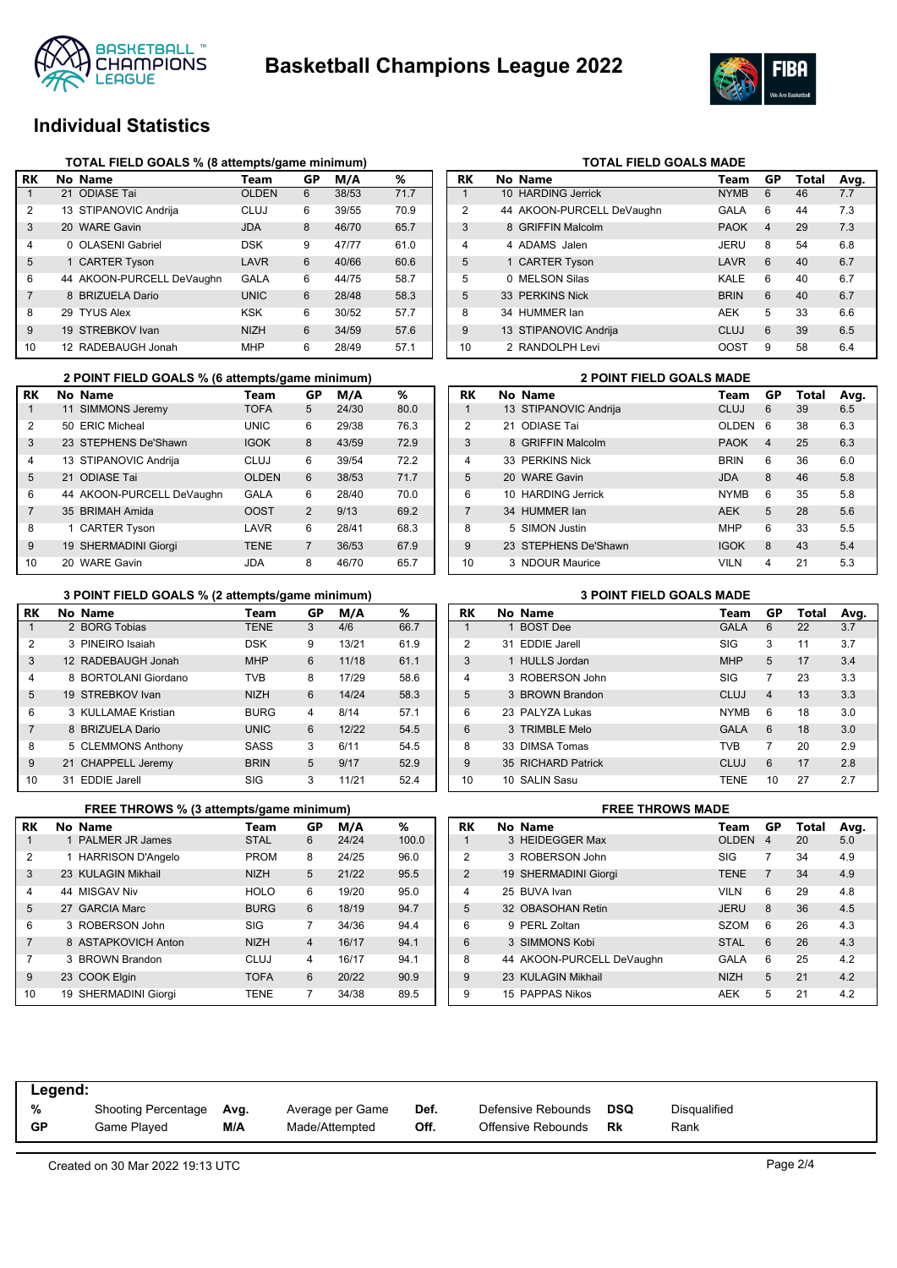



## **Individual Statistics**

| RK | No Name                   | Team         | GP | M/A   | ℅    |
|----|---------------------------|--------------|----|-------|------|
| 1  | 21 ODIASE Tai             | <b>OLDEN</b> | 6  | 38/53 | 71.7 |
| 2  | 13 STIPANOVIC Andrija     | CLUJ         | 6  | 39/55 | 70.9 |
| 3  | 20 WARE Gavin             | <b>JDA</b>   | 8  | 46/70 | 65.7 |
| 4  | 0 OLASENI Gabriel         | <b>DSK</b>   | 9  | 47/77 | 61.0 |
| 5  | 1 CARTER Tyson            | LAVR         | 6  | 40/66 | 60.6 |
| 6  | 44 AKOON-PURCELL DeVaughn | GALA         | 6  | 44/75 | 58.7 |
| 7  | 8 BRIZUELA Dario          | <b>UNIC</b>  | 6  | 28/48 | 58.3 |
| 8  | 29 TYUS Alex              | KSK          | 6  | 30/52 | 57.7 |
| 9  | 19 STREBKOV Ivan          | <b>NIZH</b>  | 6  | 34/59 | 57.6 |
| 10 | 12 RADEBAUGH Jonah        | <b>MHP</b>   | 6  | 28/49 | 57.1 |

|                | 2 POINT FIELD GOALS % (6 attempts/game minimum) |              |                | <b>2 POINT FIELD GOALS MADE</b> |      |           |                       |             |
|----------------|-------------------------------------------------|--------------|----------------|---------------------------------|------|-----------|-----------------------|-------------|
| RK             | No Name                                         | Team         | GP             | M/A                             | %    | <b>RK</b> | No Name               | Team        |
|                | 11 SIMMONS Jeremy                               | <b>TOFA</b>  | 5              | 24/30                           | 80.0 |           | 13 STIPANOVIC Andrija | <b>CLUJ</b> |
| 2              | 50 ERIC Micheal                                 | <b>UNIC</b>  | 6              | 29/38                           | 76.3 | 2         | 21 ODIASE Tai         | <b>OLDE</b> |
| 3              | 23 STEPHENS De'Shawn                            | <b>IGOK</b>  | 8              | 43/59                           | 72.9 | 3         | 8 GRIFFIN Malcolm     | <b>PAOK</b> |
| 4              | 13 STIPANOVIC Andrija                           | CLUJ         | 6              | 39/54                           | 72.2 | 4         | 33 PERKINS Nick       | <b>BRIN</b> |
| 5              | 21 ODIASE Tai                                   | <b>OLDEN</b> | 6              | 38/53                           | 71.7 | 5         | 20 WARE Gavin         | <b>JDA</b>  |
| 6              | 44 AKOON-PURCELL DeVaughn                       | <b>GALA</b>  | 6              | 28/40                           | 70.0 | 6         | 10 HARDING Jerrick    | <b>NYMB</b> |
| $\overline{7}$ | 35 BRIMAH Amida                                 | <b>OOST</b>  | 2              | 9/13                            | 69.2 |           | 34 HUMMER lan         | <b>AEK</b>  |
| 8              | 1 CARTER Tyson                                  | LAVR         | 6              | 28/41                           | 68.3 | 8         | 5 SIMON Justin        | <b>MHP</b>  |
| 9              | 19 SHERMADINI Giorgi                            | <b>TENE</b>  | $\overline{7}$ | 36/53                           | 67.9 | 9         | 23 STEPHENS De'Shawn  | <b>IGOK</b> |
| 10             | 20 WARE Gavin                                   | <b>JDA</b>   | 8              | 46/70                           | 65.7 | 10        | 3 NDOUR Maurice       | <b>VILN</b> |

| <b>TOTAL FIELD GOALS MADE</b> |   |                           |             |                |       |      |  |  |  |  |  |  |
|-------------------------------|---|---------------------------|-------------|----------------|-------|------|--|--|--|--|--|--|
| <b>RK</b>                     |   | No Name                   | Team        | GP             | Total | Avg. |  |  |  |  |  |  |
| 1                             |   | 10 HARDING Jerrick        | <b>NYMB</b> | 6              | 46    | 7.7  |  |  |  |  |  |  |
| $\overline{2}$                |   | 44 AKOON-PURCELL DeVaughn | GALA        | 6              | 44    | 7.3  |  |  |  |  |  |  |
| 3                             | 8 | <b>GRIFFIN Malcolm</b>    | <b>PAOK</b> | $\overline{4}$ | 29    | 7.3  |  |  |  |  |  |  |
| 4                             |   | 4 ADAMS Jalen             | JERU        | 8              | 54    | 6.8  |  |  |  |  |  |  |
| 5                             |   | 1 CARTER Tyson            | LAVR        | 6              | 40    | 6.7  |  |  |  |  |  |  |
| 5                             | 0 | MEL SON Silas             | KAI F       | 6              | 40    | 6.7  |  |  |  |  |  |  |
| 5                             |   | 33 PERKINS Nick           | <b>BRIN</b> | 6              | 40    | 6.7  |  |  |  |  |  |  |
| 8                             |   | 34 HUMMER Jan             | AEK         | 5              | 33    | 6.6  |  |  |  |  |  |  |
| 9                             |   | 13 STIPANOVIC Andrija     | CLUJ        | 6              | 39    | 6.5  |  |  |  |  |  |  |
| 10                            |   | 2 RANDOLPH Levi           | OOST        | 9              | 58    | 6.4  |  |  |  |  |  |  |

|                | 2 POINT FIELD GOALS MADE |                       |              |                |       |      |  |  |  |  |  |  |
|----------------|--------------------------|-----------------------|--------------|----------------|-------|------|--|--|--|--|--|--|
| RK             |                          | No Name               | Team         | GP             | Total | Avg. |  |  |  |  |  |  |
| 1              |                          | 13 STIPANOVIC Andrija | <b>CLUJ</b>  | 6              | 39    | 6.5  |  |  |  |  |  |  |
| $\mathfrak{p}$ | 21                       | <b>ODIASE Tai</b>     | <b>OLDEN</b> | 6              | 38    | 6.3  |  |  |  |  |  |  |
| 3              |                          | 8 GRIFFIN Malcolm     | <b>PAOK</b>  | $\overline{4}$ | 25    | 6.3  |  |  |  |  |  |  |
| $\overline{4}$ |                          | 33 PERKINS Nick       | <b>BRIN</b>  | 6              | 36    | 6.0  |  |  |  |  |  |  |
| 5              |                          | 20 WARE Gavin         | <b>JDA</b>   | 8              | 46    | 5.8  |  |  |  |  |  |  |
| 6              |                          | 10 HARDING Jerrick    | <b>NYMB</b>  | 6              | 35    | 5.8  |  |  |  |  |  |  |
| $\overline{7}$ |                          | 34 HUMMER lan         | <b>AEK</b>   | 5              | 28    | 5.6  |  |  |  |  |  |  |
| 8              | 5.                       | <b>SIMON Justin</b>   | <b>MHP</b>   | 6              | 33    | 5.5  |  |  |  |  |  |  |
| 9              |                          | 23 STEPHENS De'Shawn  | <b>IGOK</b>  | 8              | 43    | 5.4  |  |  |  |  |  |  |
| 10             |                          | 3 NDOUR Maurice       | <b>VILN</b>  | 4              | 21    | 5.3  |  |  |  |  |  |  |

#### **3 POINT FIELD GOALS % (2 attempts/game minimum)**

| RK             |   | No Name                   | Team        | GP | M/A   | ℅    |
|----------------|---|---------------------------|-------------|----|-------|------|
|                |   | 2 BORG Tobias             | <b>TENE</b> | 3  | 4/6   | 66.7 |
| $\overline{2}$ |   | 3 PINEIRO Isaiah          | <b>DSK</b>  | 9  | 13/21 | 61.9 |
| 3              |   | 12 RADEBAUGH Jonah        | <b>MHP</b>  | 6  | 11/18 | 61.1 |
| 4              | 8 | <b>BORTOLANI Giordano</b> | <b>TVB</b>  | 8  | 17/29 | 58.6 |
| 5              |   | 19 STREBKOV Ivan          | <b>NIZH</b> | 6  | 14/24 | 58.3 |
| 6              |   | 3 KULLAMAE Kristian       | <b>BURG</b> | 4  | 8/14  | 57.1 |
| $\overline{7}$ |   | 8 BRIZUELA Dario          | <b>UNIC</b> | 6  | 12/22 | 54.5 |
| 8              |   | 5 CLEMMONS Anthony        | SASS        | 3  | 6/11  | 54.5 |
| 9              |   | 21 CHAPPELL Jeremy        | <b>BRIN</b> | 5  | 9/17  | 52.9 |
| 10             |   | 31 EDDIE Jarell           | SIG         | 3  | 11/21 | 52.4 |

| 3 PUINT FIELD GUALS MADE |  |      |  |
|--------------------------|--|------|--|
|                          |  | Team |  |

| RK             | No Name            | Team        | GP             | Total | Avg. |
|----------------|--------------------|-------------|----------------|-------|------|
| 1              | 1 BOST Dee         | <b>GALA</b> | 6              | 22    | 3.7  |
| $\mathfrak{p}$ | 31 EDDIE Jarell    | SIG         | 3              | 11    | 3.7  |
| 3              | 1 HULLS Jordan     | <b>MHP</b>  | 5              | 17    | 3.4  |
| $\overline{4}$ | 3 ROBERSON John    | SIG         | 7              | 23    | 3.3  |
| 5              | 3 BROWN Brandon    | <b>CLUJ</b> | $\overline{4}$ | 13    | 3.3  |
| 6              | 23 PALYZA Lukas    | <b>NYMB</b> | 6              | 18    | 3.0  |
| 6              | 3 TRIMBLE Melo     | <b>GALA</b> | 6              | 18    | 3.0  |
| 8              | 33 DIMSA Tomas     | <b>TVB</b>  | 7              | 20    | 2.9  |
| 9              | 35 RICHARD Patrick | <b>CLUJ</b> | 6              | 17    | 2.8  |
| 10             | 10 SALIN Sasu      | TENE        | 10             | 27    | 2.7  |

|                | FREE THROWS % (3 attempts/game minimum) |             |    |       |       |  | <b>FREE THROWS MADE</b> |  |                           |           |
|----------------|-----------------------------------------|-------------|----|-------|-------|--|-------------------------|--|---------------------------|-----------|
| <b>RK</b>      | No Name                                 | Team        | GP | M/A   | %     |  | <b>RK</b>               |  | No Name                   | Τо        |
|                | 1 PALMER JR James                       | <b>STAL</b> | 6  | 24/24 | 100.0 |  |                         |  | 3 HEIDEGGER Max           | O         |
| 2              | 1 HARRISON D'Angelo                     | <b>PROM</b> | 8  | 24/25 | 96.0  |  | 2                       |  | 3 ROBERSON John           | SI        |
| 3              | 23 KULAGIN Mikhail                      | <b>NIZH</b> | 5  | 21/22 | 95.5  |  | $\overline{2}$          |  | 19 SHERMADINI Giorgi      | ΤI        |
| 4              | 44 MISGAV Niv                           | <b>HOLO</b> | 6  | 19/20 | 95.0  |  | 4                       |  | 25 BUVA Ivan              | VI        |
| 5              | 27 GARCIA Marc                          | <b>BURG</b> | 6  | 18/19 | 94.7  |  | 5                       |  | 32 OBASOHAN Retin         | <b>JE</b> |
| 6              | 3 ROBERSON John                         | <b>SIG</b>  | 7  | 34/36 | 94.4  |  | 6                       |  | 9 PERL Zoltan             | S.        |
| $\overline{7}$ | 8 ASTAPKOVICH Anton                     | <b>NIZH</b> | 4  | 16/17 | 94.1  |  | 6                       |  | 3 SIMMONS Kobi            | S         |
| $\overline{7}$ | 3 BROWN Brandon                         | <b>CLUJ</b> | 4  | 16/17 | 94.1  |  | 8                       |  | 44 AKOON-PURCELL DeVaughn | G.        |
| 9              | 23 COOK Elgin                           | <b>TOFA</b> | 6  | 20/22 | 90.9  |  | 9                       |  | 23 KULAGIN Mikhail        | N         |
| 10             | 19 SHERMADINI Giorgi                    | TENE        | 7  | 34/38 | 89.5  |  | 9                       |  | 15 PAPPAS Nikos           | Al        |

|                | <b>FREE THROWS MADE</b> |                           |              |    |       |      |  |  |  |  |  |  |
|----------------|-------------------------|---------------------------|--------------|----|-------|------|--|--|--|--|--|--|
| RK             |                         | No Name                   | Team         | GP | Total | Avg. |  |  |  |  |  |  |
| 1              |                         | 3 HEIDEGGER Max           | <b>OLDEN</b> | 4  | 20    | 5.0  |  |  |  |  |  |  |
| $\mathcal{P}$  |                         | 3 ROBERSON John           | SIG          | 7  | 34    | 4.9  |  |  |  |  |  |  |
| $\overline{2}$ |                         | 19 SHERMADINI Giorgi      | <b>TENE</b>  | 7  | 34    | 4.9  |  |  |  |  |  |  |
| $\overline{4}$ |                         | 25 BUVA Ivan              | <b>VILN</b>  | 6  | 29    | 4.8  |  |  |  |  |  |  |
| 5              |                         | 32 OBASOHAN Retin         | <b>JERU</b>  | 8  | 36    | 4.5  |  |  |  |  |  |  |
| 6              |                         | 9 PERL Zoltan             | <b>SZOM</b>  | 6  | 26    | 4.3  |  |  |  |  |  |  |
| 6              |                         | 3 SIMMONS Kobi            | <b>STAL</b>  | 6  | 26    | 4.3  |  |  |  |  |  |  |
| 8              |                         | 44 AKOON-PURCELL DeVaughn | GALA         | 6  | 25    | 4.2  |  |  |  |  |  |  |
| $\mathbf{Q}$   |                         | 23 KULAGIN Mikhail        | <b>NIZH</b>  | 5  | 21    | 4.2  |  |  |  |  |  |  |
| 9              |                         | 15 PAPPAS Nikos           | <b>AEK</b>   | 5  | 21    | 4.2  |  |  |  |  |  |  |

| Legend:   |                            |      |                  |      |                    |     |              |
|-----------|----------------------------|------|------------------|------|--------------------|-----|--------------|
| %         | <b>Shooting Percentage</b> | Avg. | Average per Game | Def. | Defensive Rebounds | DSQ | Disqualified |
| <b>GP</b> | Game Plaved                | M/A  | Made/Attempted   | Off. | Offensive Rebounds | Rk  | Rank         |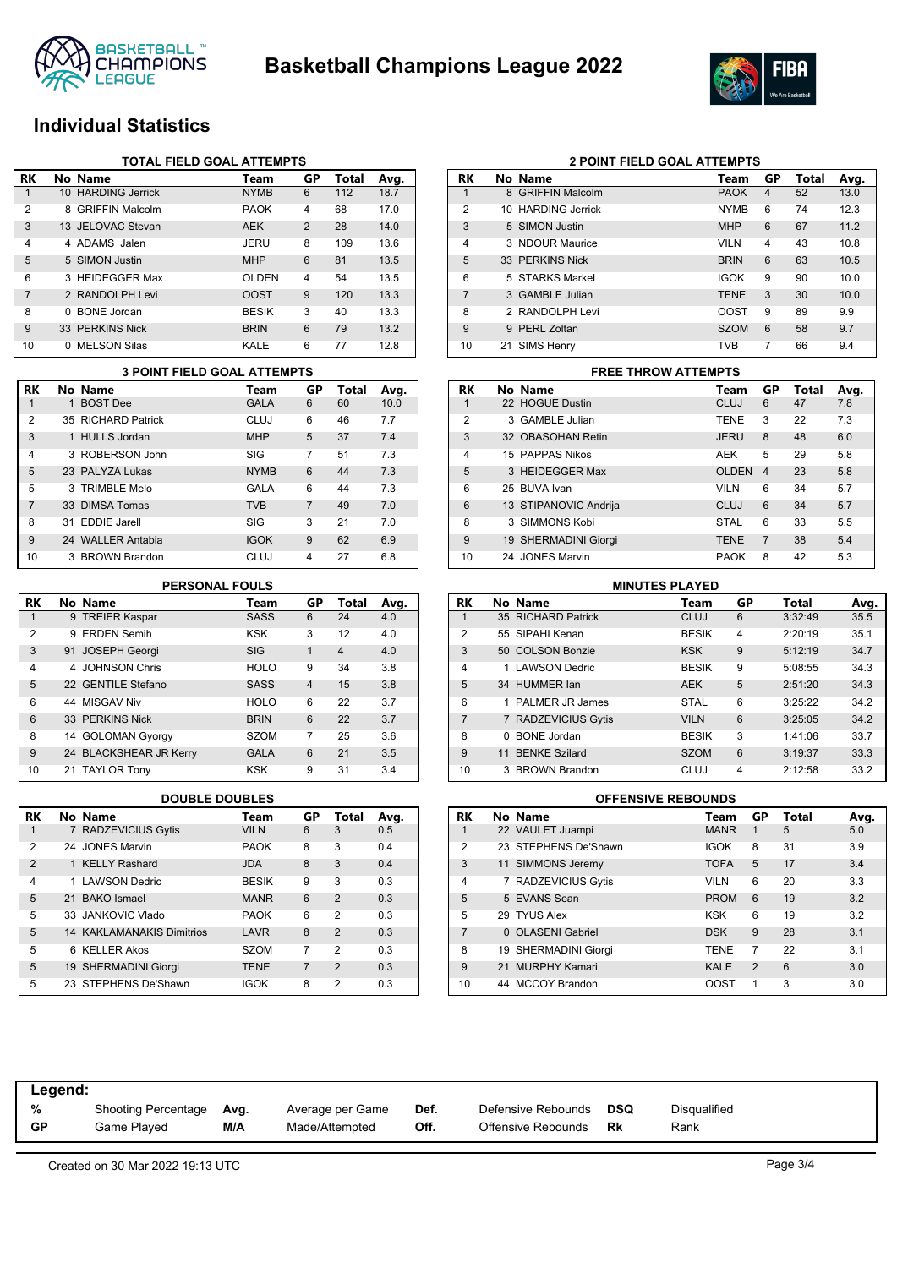



## **Individual Statistics**

|                | <b>TOTAL FIELD GOAL ATTEMPTS</b> |                        |              |                |       |      |  |  |  |  |  |
|----------------|----------------------------------|------------------------|--------------|----------------|-------|------|--|--|--|--|--|
| RK             |                                  | No Name                | Team         | GP             | Total | Avg. |  |  |  |  |  |
| 1              |                                  | 10 HARDING Jerrick     | <b>NYMB</b>  | 6              | 112   | 18.7 |  |  |  |  |  |
| $\overline{2}$ | 8                                | <b>GRIFFIN Malcolm</b> | <b>PAOK</b>  | $\overline{4}$ | 68    | 17.0 |  |  |  |  |  |
| 3              |                                  | 13 JELOVAC Stevan      | <b>AEK</b>   | 2              | 28    | 14.0 |  |  |  |  |  |
| $\overline{4}$ | 4                                | ADAMS Jalen            | JERU         | 8              | 109   | 13.6 |  |  |  |  |  |
| 5              |                                  | 5 SIMON Justin         | <b>MHP</b>   | 6              | 81    | 13.5 |  |  |  |  |  |
| 6              |                                  | 3 HEIDEGGER Max        | <b>OLDEN</b> | 4              | 54    | 13.5 |  |  |  |  |  |
| 7              |                                  | 2 RANDOLPH Levi        | <b>OOST</b>  | 9              | 120   | 13.3 |  |  |  |  |  |
| 8              | 0                                | <b>BONE</b> Jordan     | <b>BESIK</b> | 3              | 40    | 13.3 |  |  |  |  |  |
| 9              |                                  | 33 PERKINS Nick        | <b>BRIN</b>  | 6              | 79    | 13.2 |  |  |  |  |  |
| 10             | 0                                | <b>MELSON Silas</b>    | KALE         | 6              | 77    | 12.8 |  |  |  |  |  |

|                | <b>3 POINT FIELD GOAL ATTEMPTS</b> |             |                |       |      |    | <b>FREE THROW ATTEMPTS</b> |             |
|----------------|------------------------------------|-------------|----------------|-------|------|----|----------------------------|-------------|
| <b>RK</b>      | No Name                            | Team        | <b>GP</b>      | Total | Avg. | RK | No Name                    | Tea         |
|                | <b>BOST Dee</b>                    | <b>GALA</b> | 6              | 60    | 10.0 |    | 22 HOGUE Dustin            | <b>CLU</b>  |
| 2              | 35 RICHARD Patrick                 | <b>CLUJ</b> | 6              | 46    | 7.7  | 2  | 3 GAMBLE Julian            | TEN         |
| 3              | 1 HULLS Jordan                     | <b>MHP</b>  | 5              | 37    | 7.4  | 3  | 32 OBASOHAN Retin          | <b>JER</b>  |
| 4              | 3 ROBERSON John                    | <b>SIG</b>  | 7              | 51    | 7.3  | 4  | 15 PAPPAS Nikos            | <b>AEK</b>  |
| 5              | 23 PALYZA Lukas                    | <b>NYMB</b> | 6              | 44    | 7.3  | 5  | 3 HEIDEGGER Max            | <b>OLD</b>  |
| 5              | 3 TRIMBLE Melo                     | GALA        | 6              | 44    | 7.3  | 6  | 25 BUVA Ivan               | <b>VILN</b> |
| $\overline{7}$ | 33 DIMSA Tomas                     | <b>TVB</b>  | $\overline{7}$ | 49    | 7.0  | 6  | 13 STIPANOVIC Andrija      | CLU         |
| 8              | 31 EDDIE Jarell                    | SIG         | 3              | 21    | 7.0  | 8  | 3 SIMMONS Kobi             | <b>STA</b>  |
| 9              | 24 WALLER Antabia                  | <b>IGOK</b> | 9              | 62    | 6.9  | 9  | 19 SHERMADINI Giorgi       | <b>TEN</b>  |
| 10             | 3 BROWN Brandon                    | <b>CLUJ</b> | 4              | 27    | 6.8  | 10 | 24 JONES Marvin            | <b>PAO</b>  |

#### **PERSONAL FOULS**

| RK | No Name                | Team        | GP             | Total          | Avg. |
|----|------------------------|-------------|----------------|----------------|------|
| 1  | 9 TREIER Kaspar        | <b>SASS</b> | 6              | 24             | 4.0  |
| 2  | 9 ERDEN Semih          | <b>KSK</b>  | 3              | 12             | 4.0  |
| 3  | 91 JOSEPH Georgi       | <b>SIG</b>  | 1              | $\overline{4}$ | 4.0  |
| 4  | 4 JOHNSON Chris        | <b>HOLO</b> | 9              | 34             | 3.8  |
| 5  | 22 GENTILE Stefano     | <b>SASS</b> | $\overline{4}$ | 15             | 3.8  |
| 6  | 44 MISGAV Niv          | <b>HOLO</b> | 6              | 22             | 3.7  |
| 6  | 33 PERKINS Nick        | <b>BRIN</b> | 6              | 22             | 3.7  |
| 8  | 14 GOLOMAN Gyorgy      | <b>SZOM</b> | 7              | 25             | 3.6  |
| 9  | 24 BLACKSHEAR JR Kerry | <b>GALA</b> | 6              | 21             | 3.5  |
| 10 | 21 TAYLOR Tony         | <b>KSK</b>  | 9              | 31             | 3.4  |

| RK             | No Name                          | Team         | GP | Total          | Avg. |
|----------------|----------------------------------|--------------|----|----------------|------|
| 1              | 7 RADZEVICIUS Gytis              | <b>VILN</b>  | 6  | 3              | 0.5  |
| 2              | 24 JONES Marvin                  | <b>PAOK</b>  | 8  | 3              | 0.4  |
| $\mathfrak{p}$ | 1 KELLY Rashard                  | <b>JDA</b>   | 8  | 3              | 0.4  |
| 4              | 1 LAWSON Dedric                  | <b>BESIK</b> | 9  | 3              | 0.3  |
| 5              | 21 BAKO Ismael                   | <b>MANR</b>  | 6  | $\mathcal{P}$  | 0.3  |
| 5              | 33 JANKOVIC Vlado                | <b>PAOK</b>  | 6  | $\mathfrak{p}$ | 0.3  |
| 5              | <b>14 KAKLAMANAKIS Dimitrios</b> | LAVR         | 8  | $\mathcal{P}$  | 0.3  |
| 5              | 6 KELLER Akos                    | <b>SZOM</b>  | 7  | 2              | 0.3  |
| 5              | 19 SHERMADINI Giorgi             | <b>TENE</b>  | 7  | $\mathcal{P}$  | 0.3  |
| 5              | 23 STEPHENS De'Shawn             | <b>IGOK</b>  | 8  | 2              | 0.3  |

|                | <b>2 POINT FIELD GOAL ATTEMPTS</b> |                        |             |    |       |      |  |  |  |  |  |  |
|----------------|------------------------------------|------------------------|-------------|----|-------|------|--|--|--|--|--|--|
| RK             |                                    | No Name                | Team        | GP | Total | Avg. |  |  |  |  |  |  |
| 1              |                                    | 8 GRIFFIN Malcolm      | <b>PAOK</b> | 4  | 52    | 13.0 |  |  |  |  |  |  |
| $\overline{2}$ | 10                                 | <b>HARDING Jerrick</b> | <b>NYMB</b> | 6  | 74    | 12.3 |  |  |  |  |  |  |
| 3              |                                    | 5 SIMON Justin         | <b>MHP</b>  | 6  | 67    | 11.2 |  |  |  |  |  |  |
| $\overline{4}$ |                                    | 3 NDOUR Maurice        | <b>VILN</b> | 4  | 43    | 10.8 |  |  |  |  |  |  |
| 5              |                                    | 33 PERKINS Nick        | <b>BRIN</b> | 6  | 63    | 10.5 |  |  |  |  |  |  |
| 6              |                                    | 5 STARKS Markel        | <b>IGOK</b> | 9  | 90    | 10.0 |  |  |  |  |  |  |
| $\overline{7}$ |                                    | 3 GAMBLE Julian        | <b>TENE</b> | 3  | 30    | 10.0 |  |  |  |  |  |  |
| 8              |                                    | 2 RANDOLPH Levi        | <b>OOST</b> | 9  | 89    | 9.9  |  |  |  |  |  |  |
| 9              | 9                                  | PERL Zoltan            | <b>SZOM</b> | 6  | 58    | 9.7  |  |  |  |  |  |  |
| 10             |                                    | 21 SIMS Henry          | <b>TVB</b>  | 7  | 66    | 9.4  |  |  |  |  |  |  |

|                | <b>FREE THROW ATTEMPTS</b> |              |                  |       |      |
|----------------|----------------------------|--------------|------------------|-------|------|
| <b>RK</b>      | No Name                    | Team         | GP               | Total | Avg. |
|                | 22 HOGUE Dustin            | <b>CLUJ</b>  | 6                | 47    | 7.8  |
| 2              | 3 GAMBLE Julian            | <b>TENE</b>  | 3                | 22    | 7.3  |
| 3              | 32 OBASOHAN Retin          | <b>JERU</b>  | 8                | 48    | 6.0  |
| $\overline{4}$ | 15 PAPPAS Nikos            | <b>AEK</b>   | 5                | 29    | 5.8  |
| 5              | 3 HEIDEGGER Max            | <b>OLDEN</b> | $\boldsymbol{4}$ | 23    | 5.8  |
| 6              | 25 BUVA Ivan               | <b>VILN</b>  | 6                | 34    | 5.7  |
| 6              | 13 STIPANOVIC Andrija      | CLUJ         | 6                | 34    | 5.7  |
| 8              | 3 SIMMONS Kobi             | <b>STAL</b>  | 6                | 33    | 5.5  |
| 9              | 19 SHERMADINI Giorgi       | <b>TENE</b>  | 7                | 38    | 5.4  |
| 10             | 24 JONES Marvin            | <b>PAOK</b>  | 8                | 42    | 5.3  |

| <b>MINUTES PLAYED</b> |              |                      |              |    |         |      |  |  |
|-----------------------|--------------|----------------------|--------------|----|---------|------|--|--|
| <b>RK</b>             |              | No Name              | Team         | GP | Total   | Avg. |  |  |
|                       |              | 35 RICHARD Patrick   | <b>CLUJ</b>  | 6  | 3:32:49 | 35.5 |  |  |
| 2                     |              | 55 SIPAHI Kenan      | <b>BESIK</b> | 4  | 2:20:19 | 35.1 |  |  |
| 3                     |              | 50 COLSON Bonzie     | <b>KSK</b>   | 9  | 5:12:19 | 34.7 |  |  |
| $\overline{4}$        |              | <b>LAWSON Dedric</b> | <b>BESIK</b> | 9  | 5:08:55 | 34.3 |  |  |
| 5                     |              | 34 HUMMER Ian        | <b>AEK</b>   | 5  | 2:51:20 | 34.3 |  |  |
| 6                     |              | PAI MFR JR James     | <b>STAL</b>  | 6  | 3:25:22 | 34.2 |  |  |
| $\overline{7}$        |              | 7 RADZEVICIUS Gytis  | <b>VILN</b>  | 6  | 3:25:05 | 34.2 |  |  |
| 8                     | <sup>n</sup> | <b>BONE</b> Jordan   | <b>BESIK</b> | 3  | 1:41:06 | 33.7 |  |  |
| 9                     | 11           | <b>BENKE Szilard</b> | <b>SZOM</b>  | 6  | 3:19:37 | 33.3 |  |  |
| 10                    | 3            | <b>BROWN Brandon</b> | CLUJ         | 4  | 2:12:58 | 33.2 |  |  |

#### **DOUBLE DOUBLES OFFENSIVE REBOUNDS**

| <b>RK</b>      | No Name              | Team        | GP             | Total | Avg. |
|----------------|----------------------|-------------|----------------|-------|------|
|                | 22 VAULET Juampi     | <b>MANR</b> |                | 5     | 5.0  |
| 2              | 23 STEPHENS De'Shawn | <b>IGOK</b> | 8              | 31    | 3.9  |
| 3              | 11 SIMMONS Jeremy    | <b>TOFA</b> | 5              | 17    | 3.4  |
| $\overline{4}$ | 7 RADZEVICIUS Gytis  | <b>VILN</b> | 6              | 20    | 3.3  |
| 5              | 5 EVANS Sean         | <b>PROM</b> | 6              | 19    | 3.2  |
| 5              | 29 TYUS Alex         | KSK         | 6              | 19    | 3.2  |
| $\overline{7}$ | 0 OLASENI Gabriel    | <b>DSK</b>  | 9              | 28    | 3.1  |
| 8              | 19 SHERMADINI Giorgi | <b>TENE</b> | 7              | 22    | 3.1  |
| 9              | 21 MURPHY Kamari     | <b>KALE</b> | $\overline{2}$ | 6     | 3.0  |
| 10             | 44 MCCOY Brandon     | OOST        | 1              | 3     | 3.0  |

| Legend:        |                                           |             |                                    |              |                                          |                  |                      |
|----------------|-------------------------------------------|-------------|------------------------------------|--------------|------------------------------------------|------------------|----------------------|
| %<br><b>GP</b> | <b>Shooting Percentage</b><br>Game Played | Avg.<br>M/A | Average per Game<br>Made/Attempted | Def.<br>Off. | Defensive Rebounds<br>Offensive Rebounds | <b>DSQ</b><br>Rk | Disqualified<br>Rank |
|                |                                           |             |                                    |              |                                          |                  |                      |